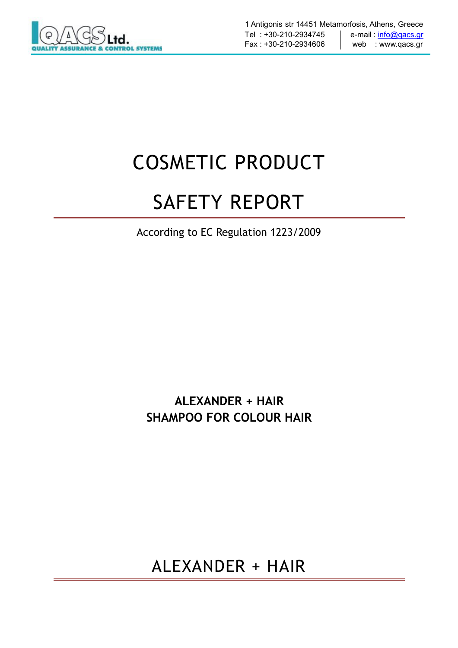

# COSMETIC PRODUCT

# SAFETY REPORT

According to EC Regulation 1223/2009

**ALEXANDER + HAIR SHAMPOO FOR COLOUR HAIR**

ALEXANDER + HAIR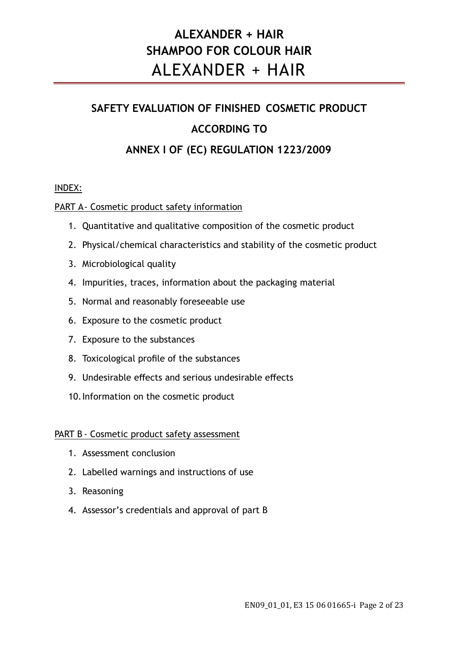### **ALEXANDER + HAIR SHAMPOO FOR COLOUR HAIR** ALEXANDER + HAIR

## **SAFETY EVALUATION OF FINISHED COSMETIC PRODUCT ACCORDING TO ANNEX I OF (EC) REGULATION 1223/2009**

#### INDEX:

#### PART A- Cosmetic product safety information

- 1. Quantitative and qualitative composition of the cosmetic product
- 2. Physical/chemical characteristics and stability of the cosmetic product
- 3. Microbiological quality
- 4. Impurities, traces, information about the packaging material
- 5. Normal and reasonably foreseeable use
- 6. Exposure to the cosmetic product
- 7. Exposure to the substances
- 8. Toxicological profile of the substances
- 9. Undesirable effects and serious undesirable effects
- 10.Information on the cosmetic product

#### PART B - Cosmetic product safety assessment

- 1. Assessment conclusion
- 2. Labelled warnings and instructions of use
- 3. Reasoning
- 4. Assessor's credentials and approval of part B